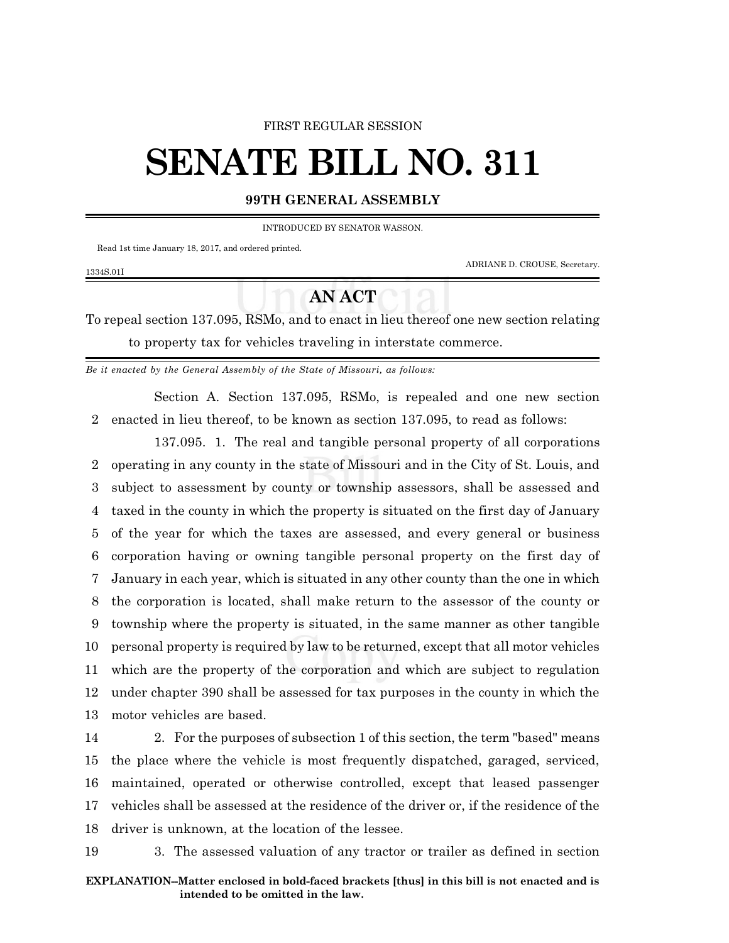### FIRST REGULAR SESSION

# **SENATE BILL NO. 311**

## **99TH GENERAL ASSEMBLY**

INTRODUCED BY SENATOR WASSON.

Read 1st time January 18, 2017, and ordered printed.

1334S.01I

ADRIANE D. CROUSE, Secretary.

# **AN ACT**

To repeal section 137.095, RSMo, and to enact in lieu thereof one new section relating to property tax for vehicles traveling in interstate commerce.

*Be it enacted by the General Assembly of the State of Missouri, as follows:*

Section A. Section 137.095, RSMo, is repealed and one new section 2 enacted in lieu thereof, to be known as section 137.095, to read as follows:

137.095. 1. The real and tangible personal property of all corporations operating in any county in the state of Missouri and in the City of St. Louis, and subject to assessment by county or township assessors, shall be assessed and taxed in the county in which the property is situated on the first day of January of the year for which the taxes are assessed, and every general or business corporation having or owning tangible personal property on the first day of January in each year, which is situated in any other county than the one in which the corporation is located, shall make return to the assessor of the county or township where the property is situated, in the same manner as other tangible personal property is required by law to be returned, except that all motor vehicles which are the property of the corporation and which are subject to regulation under chapter 390 shall be assessed for tax purposes in the county in which the motor vehicles are based.

 2. For the purposes of subsection 1 of this section, the term "based" means the place where the vehicle is most frequently dispatched, garaged, serviced, maintained, operated or otherwise controlled, except that leased passenger vehicles shall be assessed at the residence of the driver or, if the residence of the driver is unknown, at the location of the lessee.

19 3. The assessed valuation of any tractor or trailer as defined in section

### **EXPLANATION--Matter enclosed in bold-faced brackets [thus] in this bill is not enacted and is intended to be omitted in the law.**